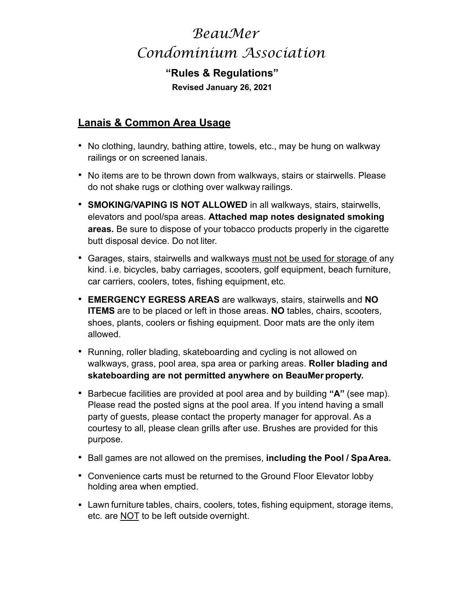# *BeauMer Condominium Association*

#### **"Rules & Regulations"**

**Revised January 26, 2021**

#### **Lanais & Common Area Usage**

- No clothing, laundry, bathing attire, towels, etc., may be hung on walkway railings or on screened lanais.
- No items are to be thrown down from walkways, stairs or stairwells. Please do not shake rugs or clothing over walkway railings.
- **SMOKING/VAPING IS NOT ALLOWED** in all walkways, stairs, stairwells, elevators and pool/spa areas. **Attached map notes designated smoking areas.** Be sure to dispose of your tobacco products properly in the cigarette butt disposal device. Do not liter.
- Garages, stairs, stairwells and walkways must not be used for storage of any kind. i.e. bicycles, baby carriages, scooters, golf equipment, beach furniture, car carriers, coolers, totes, fishing equipment, etc.
- **EMERGENCY EGRESS AREAS** are walkways, stairs, stairwells and **NO ITEMS** are to be placed or left in those areas. **NO** tables, chairs, scooters, shoes, plants, coolers or fishing equipment. Door mats are the only item allowed.
- Running, roller blading, skateboarding and cycling is not allowed on walkways, grass, pool area, spa area or parking areas. **Roller blading and skateboarding are not permitted anywhere on BeauMer property.**
- Barbecue facilities are provided at pool area and by building **"A"** (see map). Please read the posted signs at the pool area. If you intend having a small party of guests, please contact the property manager for approval. As a courtesy to all, please clean grills after use. Brushes are provided for this purpose.
- Ball games are not allowed on the premises, **including the Pool / SpaArea.**
- Convenience carts must be returned to the Ground Floor Elevator lobby holding area when emptied.
- Lawn furniture tables, chairs, coolers, totes, fishing equipment, storage items, etc. are NOT to be left outside overnight.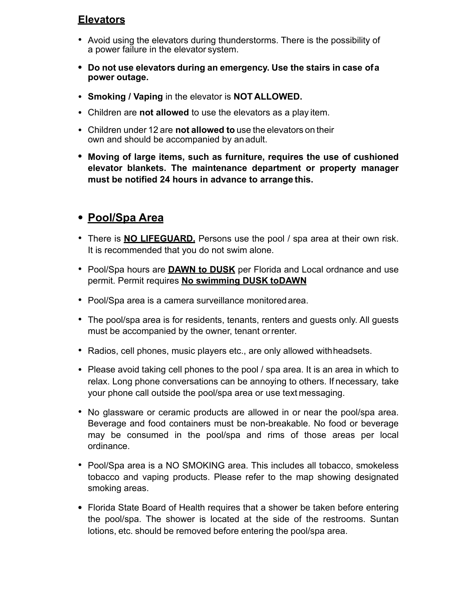#### **Elevators**

- Avoid using the elevators during thunderstorms. There is the possibility of a power failure in the elevator system.
- **• Do not use elevators during an emergency. Use the stairs in case ofa power outage.**
- **Smoking / Vaping** in the elevator is **NOT ALLOWED.**
- Children are **not allowed** to use the elevators as a play item.
- Children under 12 are **not allowed to** use the elevators on their own and should be accompanied by anadult.
- **• Moving of large items, such as furniture, requires the use of cushioned elevator blankets. The maintenance department or property manager must be notified 24 hours in advance to arrange this.**

## **• Pool/Spa Area**

- There is **NO LIFEGUARD.** Persons use the pool / spa area at their own risk. It is recommended that you do not swim alone.
- Pool/Spa hours are **DAWN to DUSK** per Florida and Local ordnance and use permit. Permit requires **No swimming DUSK toDAWN**
- Pool/Spa area is a camera surveillance monitored area.
- The pool/spa area is for residents, tenants, renters and guests only. All guests must be accompanied by the owner, tenant orrenter.
- Radios, cell phones, music players etc., are only allowed withheadsets.
- Please avoid taking cell phones to the pool / spa area. It is an area in which to relax. Long phone conversations can be annoying to others. If necessary, take your phone call outside the pool/spa area or use text messaging.
- No glassware or ceramic products are allowed in or near the pool/spa area. Beverage and food containers must be non-breakable. No food or beverage may be consumed in the pool/spa and rims of those areas per local ordinance.
- Pool/Spa area is a NO SMOKING area. This includes all tobacco, smokeless tobacco and vaping products. Please refer to the map showing designated smoking areas.
- **•** Florida State Board of Health requires that a shower be taken before entering the pool/spa. The shower is located at the side of the restrooms. Suntan lotions, etc. should be removed before entering the pool/spa area.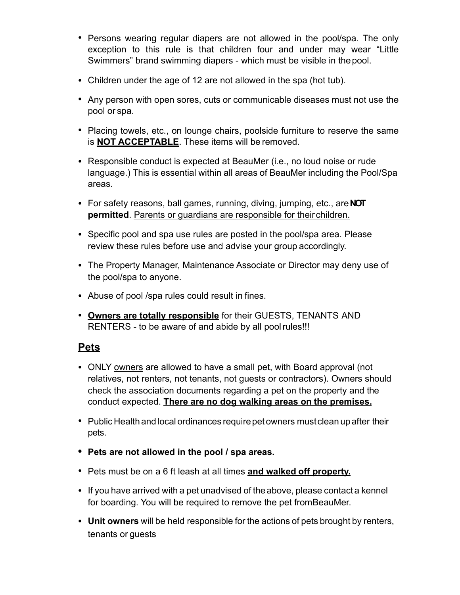- Persons wearing regular diapers are not allowed in the pool/spa. The only exception to this rule is that children four and under may wear "Little Swimmers" brand swimming diapers - which must be visible in thepool.
- Children under the age of 12 are not allowed in the spa (hot tub).
- Any person with open sores, cuts or communicable diseases must not use the pool or spa.
- Placing towels, etc., on lounge chairs, poolside furniture to reserve the same is **NOT ACCEPTABLE**. These items will be removed.
- Responsible conduct is expected at BeauMer (i.e., no loud noise or rude language.) This is essential within all areas of BeauMer including the Pool/Spa areas.
- For safety reasons, ball games, running, diving, jumping, etc., are **NOT permitted**. Parents or guardians are responsible for their children.
- Specific pool and spa use rules are posted in the pool/spa area. Please review these rules before use and advise your group accordingly.
- The Property Manager, Maintenance Associate or Director may deny use of the pool/spa to anyone.
- Abuse of pool /spa rules could result in fines.
- **Owners are totally responsible** for their GUESTS, TENANTS AND RENTERS - to be aware of and abide by all poolrules!!!

#### **Pets**

- ONLY owners are allowed to have a small pet, with Board approval (not relatives, not renters, not tenants, not guests or contractors). Owners should check the association documents regarding a pet on the property and the conduct expected. **There are no dog walking areas on the premises.**
- Public Health and local ordinances require pet owners must clean up after their pets.
- **• Pets are not allowed in the pool / spa areas.**
- Pets must be on a 6 ft leash at all times **and walked off property.**
- If you have arrived with a pet unadvised of the above, please contact a kennel for boarding. You will be required to remove the pet fromBeauMer.
- **Unit owners** will be held responsible for the actions of pets brought by renters, tenants or guests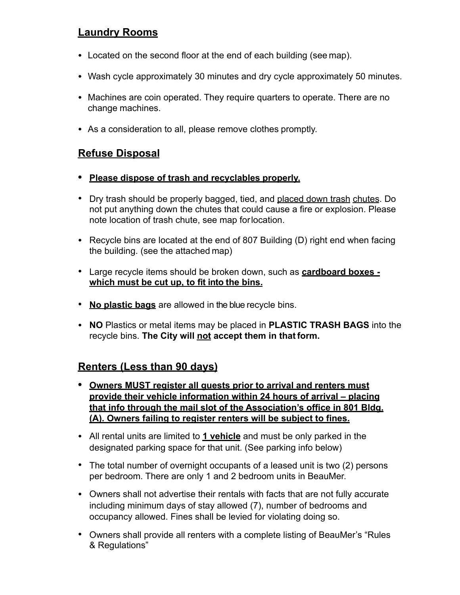#### **Laundry Rooms**

- Located on the second floor at the end of each building (see map).
- Wash cycle approximately 30 minutes and dry cycle approximately 50 minutes.
- Machines are coin operated. They require quarters to operate. There are no change machines.
- As a consideration to all, please remove clothes promptly.

#### **Refuse Disposal**

- **• Please dispose of trash and recyclables properly.**
- Dry trash should be properly bagged, tied, and placed down trash chutes. Do not put anything down the chutes that could cause a fire or explosion. Please note location of trash chute, see map forlocation.
- Recycle bins are located at the end of 807 Building (D) right end when facing the building. (see the attached map)
- Large recycle items should be broken down, such as **cardboard boxes which must be cut up, to fit into the bins.**
- **No plastic bags** are allowed in the blue recycle bins.
- **NO** Plastics or metal items may be placed in **PLASTIC TRASH BAGS** into the recycle bins. **The City will not accept them in that form.**

# **Renters (Less than 90 days)**

- **• Owners MUST register all guests prior to arrival and renters must provide their vehicle information within 24 hours of arrival – placing that info through the mail slot of the Association's office in 801 Bldg. (A). Owners failing to register renters will be subject to fines.**
- All rental units are limited to **1 vehicle** and must be only parked in the designated parking space for that unit. (See parking info below)
- The total number of overnight occupants of a leased unit is two (2) persons per bedroom. There are only 1 and 2 bedroom units in BeauMer.
- Owners shall not advertise their rentals with facts that are not fully accurate including minimum days of stay allowed (7), number of bedrooms and occupancy allowed. Fines shall be levied for violating doing so.
- Owners shall provide all renters with a complete listing of BeauMer's "Rules & Regulations"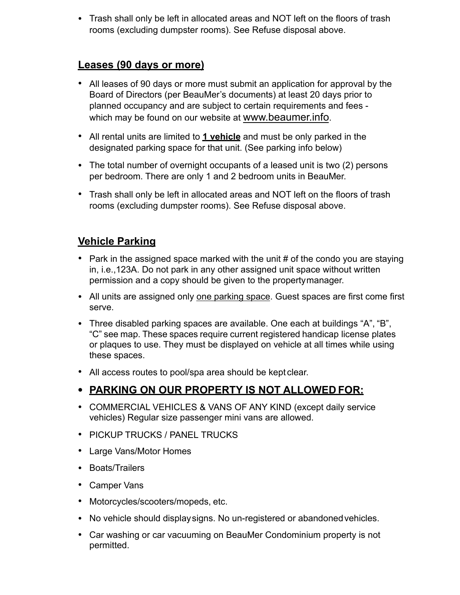• Trash shall only be left in allocated areas and NOT left on the floors of trash rooms (excluding dumpster rooms). See Refuse disposal above.

#### **Leases (90 days or more)**

- All leases of 90 days or more must submit an application for approval by the Board of Directors (per BeauMer's documents) at least 20 days prior to planned occupancy and are subject to certain requirements and fees which may be found on our website at [www.beaumer.info](http://www.beaumer.info).
- All rental units are limited to **1 vehicle** and must be only parked in the designated parking space for that unit. (See parking info below)
- The total number of overnight occupants of a leased unit is two (2) persons per bedroom. There are only 1 and 2 bedroom units in BeauMer.
- Trash shall only be left in allocated areas and NOT left on the floors of trash rooms (excluding dumpster rooms). See Refuse disposal above.

## **Vehicle Parking**

- Park in the assigned space marked with the unit # of the condo you are staying in, i.e.,123A. Do not park in any other assigned unit space without written permission and a copy should be given to the propertymanager.
- All units are assigned only one parking space. Guest spaces are first come first serve.
- Three disabled parking spaces are available. One each at buildings "A", "B", "C" see map. These spaces require current registered handicap license plates or plaques to use. They must be displayed on vehicle at all times while using these spaces.
- All access routes to pool/spa area should be kept clear.
- **• PARKING ON OUR PROPERTY IS NOT ALLOWED FOR:**
- COMMERCIAL VEHICLES & VANS OF ANY KIND (except daily service vehicles) Regular size passenger mini vans are allowed.
- PICKUP TRUCKS / PANEL TRUCKS
- Large Vans/Motor Homes
- Boats/Trailers
- Camper Vans
- Motorcycles/scooters/mopeds, etc.
- No vehicle should displaysigns. No un-registered or abandoned vehicles.
- Car washing or car vacuuming on BeauMer Condominium property is not permitted.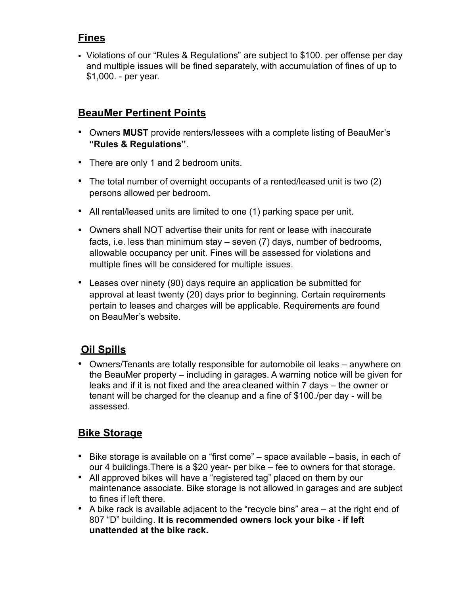# **Fines**

• Violations of our "Rules & Regulations" are subject to \$100. per offense per day and multiple issues will be fined separately, with accumulation of fines of up to \$1,000. - per year.

#### **BeauMer Pertinent Points**

- Owners **MUST** provide renters/lessees with a complete listing of BeauMer's **"Rules & Regulations"**.
- There are only 1 and 2 bedroom units.
- The total number of overnight occupants of a rented/leased unit is two (2) persons allowed per bedroom.
- All rental/leased units are limited to one (1) parking space per unit.
- Owners shall NOT advertise their units for rent or lease with inaccurate facts, i.e. less than minimum stay – seven (7) days, number of bedrooms, allowable occupancy per unit. Fines will be assessed for violations and multiple fines will be considered for multiple issues.
- Leases over ninety (90) days require an application be submitted for approval at least twenty (20) days prior to beginning. Certain requirements pertain to leases and charges will be applicable. Requirements are found on BeauMer's website.

#### **Oil Spills**

• Owners/Tenants are totally responsible for automobile oil leaks – anywhere on the BeauMer property – including in garages. A warning notice will be given for leaks and if it is not fixed and the area cleaned within 7 days – the owner or tenant will be charged for the cleanup and a fine of \$100./per day - will be assessed.

#### **Bike Storage**

- Bike storage is available on a "first come" space available basis, in each of our 4 buildings.There is a \$20 year- per bike – fee to owners for that storage.
- All approved bikes will have a "registered tag" placed on them by our maintenance associate. Bike storage is not allowed in garages and are subject to fines if left there.
- A bike rack is available adjacent to the "recycle bins" area at the right end of 807 "D" building. **It is recommended owners lock your bike - if left unattended at the bike rack.**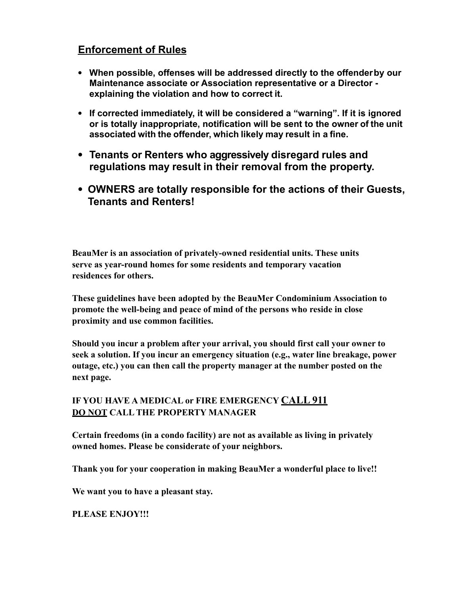#### **Enforcement of Rules**

- **• When possible, offenses will be addressed directly to the offenderby our Maintenance associate or Association representative or a Director explaining the violation and how to correct it.**
- **• If corrected immediately, it will be considered a "warning". If it is ignored or is totally inappropriate, notification will be sent to the owner of the unit associated with the offender, which likely may result in a fine.**
- **• Tenants or Renters who aggressively disregard rules and regulations may result in their removal from the property.**
- **• OWNERS are totally responsible for the actions of their Guests, Tenants and Renters!**

**BeauMer is an association of privately-owned residential units. These units serve as year-round homes for some residents and temporary vacation residences for others.** 

**These guidelines have been adopted by the BeauMer Condominium Association to promote the well-being and peace of mind of the persons who reside in close proximity and use common facilities.** 

**Should you incur a problem after your arrival, you should first call your owner to seek a solution. If you incur an emergency situation (e.g., water line breakage, power outage, etc.) you can then call the property manager at the number posted on the next page.** 

#### **IF YOU HAVE A MEDICAL or FIRE EMERGENCY CALL 911 DO NOT CALL THE PROPERTY MANAGER**

**Certain freedoms (in a condo facility) are not as available as living in privately owned homes. Please be considerate of your neighbors.** 

**Thank you for your cooperation in making BeauMer a wonderful place to live!!** 

**We want you to have a pleasant stay.** 

**PLEASE ENJOY!!!**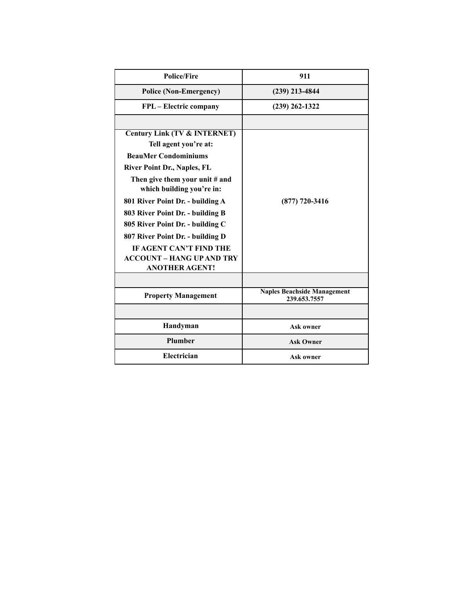| <b>Police/Fire</b>                                                                                                       | 911                                                |
|--------------------------------------------------------------------------------------------------------------------------|----------------------------------------------------|
| <b>Police (Non-Emergency)</b>                                                                                            | $(239)$ 213-4844                                   |
| FPL - Electric company                                                                                                   | $(239)$ 262-1322                                   |
|                                                                                                                          |                                                    |
| <b>Century Link (TV &amp; INTERNET)</b><br>Tell agent you're at:<br><b>BeauMer Condominiums</b>                          |                                                    |
| <b>River Point Dr., Naples, FL</b><br>Then give them your unit # and<br>which building you're in:                        |                                                    |
| 801 River Point Dr. - building A<br>803 River Point Dr. - building B                                                     | $(877)$ 720-3416                                   |
| 805 River Point Dr. - building C                                                                                         |                                                    |
| 807 River Point Dr. - building D<br>IF AGENT CAN'T FIND THE<br><b>ACCOUNT - HANG UP AND TRY</b><br><b>ANOTHER AGENT!</b> |                                                    |
|                                                                                                                          |                                                    |
| <b>Property Management</b>                                                                                               | <b>Naples Beachside Management</b><br>239.653.7557 |
|                                                                                                                          |                                                    |
| Handyman                                                                                                                 | <b>Ask owner</b>                                   |
| Plumber                                                                                                                  | <b>Ask Owner</b>                                   |
| Electrician                                                                                                              | Ask owner                                          |